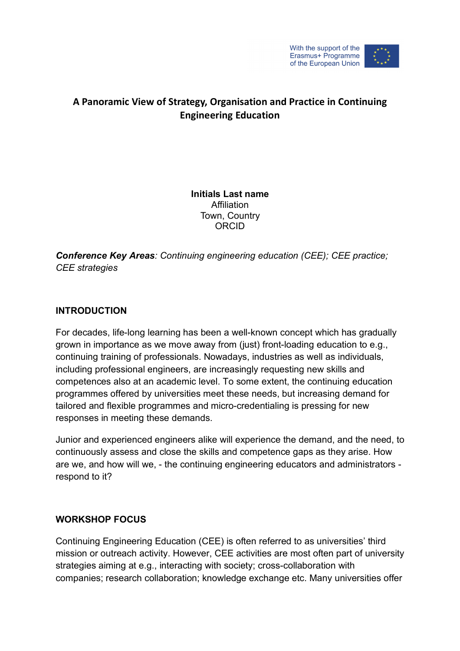

# **A Panoramic View of Strategy, Organisation and Practice in Continuing Engineering Education**

#### **Initials Last name Affiliation** Town, Country ORCID

*Conference Key Areas: Continuing engineering education (CEE); CEE practice; CEE strategies* 

## **INTRODUCTION**

For decades, life-long learning has been a well-known concept which has gradually grown in importance as we move away from (just) front-loading education to e.g., continuing training of professionals. Nowadays, industries as well as individuals, including professional engineers, are increasingly requesting new skills and competences also at an academic level. To some extent, the continuing education programmes offered by universities meet these needs, but increasing demand for tailored and flexible programmes and micro-credentialing is pressing for new responses in meeting these demands.

Junior and experienced engineers alike will experience the demand, and the need, to continuously assess and close the skills and competence gaps as they arise. How are we, and how will we, - the continuing engineering educators and administrators respond to it?

## **WORKSHOP FOCUS**

Continuing Engineering Education (CEE) is often referred to as universities' third mission or outreach activity. However, CEE activities are most often part of university strategies aiming at e.g., interacting with society; cross-collaboration with companies; research collaboration; knowledge exchange etc. Many universities offer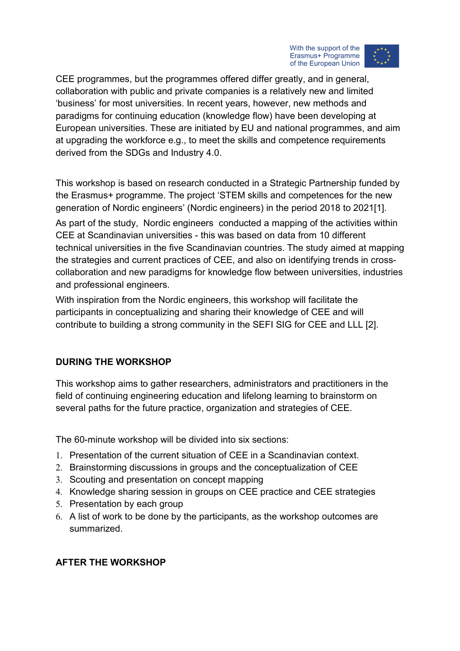



CEE programmes, but the programmes offered differ greatly, and in general, collaboration with public and private companies is a relatively new and limited 'business' for most universities. In recent years, however, new methods and paradigms for continuing education (knowledge flow) have been developing at European universities. These are initiated by EU and national programmes, and aim at upgrading the workforce e.g., to meet the skills and competence requirements derived from the SDGs and Industry 4.0.

This workshop is based on research conducted in a Strategic Partnership funded by the Erasmus+ programme. The project 'STEM skills and competences for the new generation of Nordic engineers' (Nordic engineers) in the period 2018 to 2021[1].

As part of the study, Nordic engineers conducted a mapping of the activities within CEE at Scandinavian universities - this was based on data from 10 different technical universities in the five Scandinavian countries. The study aimed at mapping the strategies and current practices of CEE, and also on identifying trends in crosscollaboration and new paradigms for knowledge flow between universities, industries and professional engineers.

With inspiration from the Nordic engineers, this workshop will facilitate the participants in conceptualizing and sharing their knowledge of CEE and will contribute to building a strong community in the SEFI SIG for CEE and LLL [2].

## **DURING THE WORKSHOP**

This workshop aims to gather researchers, administrators and practitioners in the field of continuing engineering education and lifelong learning to brainstorm on several paths for the future practice, organization and strategies of CEE.

The 60-minute workshop will be divided into six sections:

- 1. Presentation of the current situation of CEE in a Scandinavian context.
- 2. Brainstorming discussions in groups and the conceptualization of CEE
- 3. Scouting and presentation on concept mapping
- 4. Knowledge sharing session in groups on CEE practice and CEE strategies
- 5. Presentation by each group
- 6. A list of work to be done by the participants, as the workshop outcomes are summarized.

## **AFTER THE WORKSHOP**